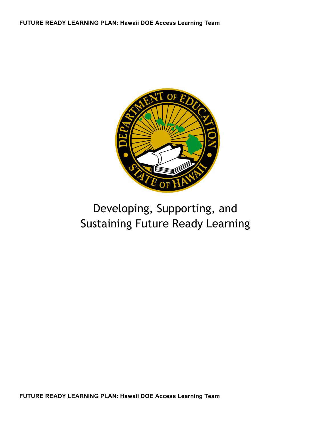

# Developing, Supporting, and Sustaining Future Ready Learning

**FUTURE READY LEARNING PLAN: Hawaii DOE Access Learning Team**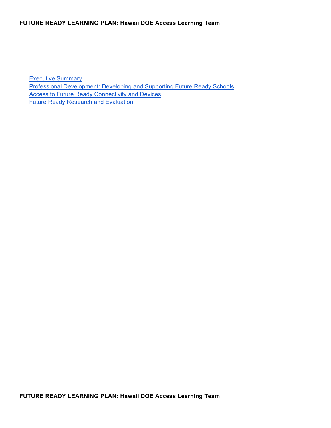Executive Summary Professional Development: Developing and Supporting Future Ready Schools Access to Future Ready Connectivity and Devices Future Ready Research and Evaluation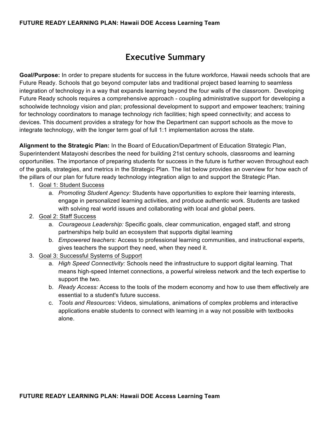### **Executive Summary**

**Goal/Purpose:** In order to prepare students for success in the future workforce, Hawaii needs schools that are Future Ready. Schools that go beyond computer labs and traditional project based learning to seamless integration of technology in a way that expands learning beyond the four walls of the classroom. Developing Future Ready schools requires a comprehensive approach - coupling administrative support for developing a schoolwide technology vision and plan; professional development to support and empower teachers; training for technology coordinators to manage technology rich facilities; high speed connectivity; and access to devices. This document provides a strategy for how the Department can support schools as the move to integrate technology, with the longer term goal of full 1:1 implementation across the state.

**Alignment to the Strategic Plan:** In the Board of Education/Department of Education Strategic Plan, Superintendent Matayoshi describes the need for building 21st century schools, classrooms and learning opportunities. The importance of preparing students for success in the future is further woven throughout each of the goals, strategies, and metrics in the Strategic Plan. The list below provides an overview for how each of the pillars of our plan for future ready technology integration align to and support the Strategic Plan.

- 1. Goal 1: Student Success
	- a. *Promoting Student Agency:* Students have opportunities to explore their learning interests, engage in personalized learning activities, and produce authentic work. Students are tasked with solving real world issues and collaborating with local and global peers.
- 2. Goal 2: Staff Success
	- a. *Courageous Leadership:* Specific goals, clear communication, engaged staff, and strong partnerships help build an ecosystem that supports digital learning
	- b. *Empowered teachers:* Access to professional learning communities, and instructional experts, gives teachers the support they need, when they need it.
- 3. Goal 3: Successful Systems of Support
	- a. *High Speed Connectivity:* Schools need the infrastructure to support digital learning. That means high-speed Internet connections, a powerful wireless network and the tech expertise to support the two.
	- b. *Ready Access:* Access to the tools of the modern economy and how to use them effectively are essential to a student's future success.
	- c. *Tools and Resources:* Videos, simulations, animations of complex problems and interactive applications enable students to connect with learning in a way not possible with textbooks alone.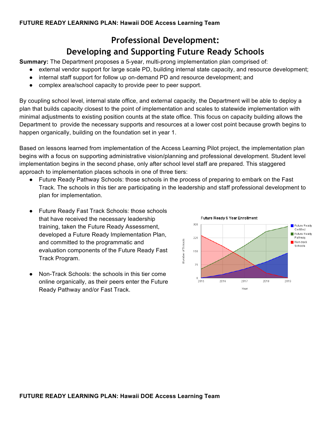## **Professional Development: Developing and Supporting Future Ready Schools**

**Summary:** The Department proposes a 5-year, multi-prong implementation plan comprised of:

- external vendor support for large scale PD, building internal state capacity, and resource development;
- internal staff support for follow up on-demand PD and resource development; and
- complex area/school capacity to provide peer to peer support.

By coupling school level, internal state office, and external capacity, the Department will be able to deploy a plan that builds capacity closest to the point of implementation and scales to statewide implementation with minimal adjustments to existing position counts at the state office. This focus on capacity building allows the Department to provide the necessary supports and resources at a lower cost point because growth begins to happen organically, building on the foundation set in year 1.

Based on lessons learned from implementation of the Access Learning Pilot project, the implementation plan begins with a focus on supporting administrative vision/planning and professional development. Student level implementation begins in the second phase, only after school level staff are prepared. This staggered approach to implementation places schools in one of three tiers:

- Future Ready Pathway Schools: those schools in the process of preparing to embark on the Fast Track. The schools in this tier are participating in the leadership and staff professional development to plan for implementation.
- Future Ready Fast Track Schools: those schools that have received the necessary leadership training, taken the Future Ready Assessment, developed a Future Ready Implementation Plan, and committed to the programmatic and evaluation components of the Future Ready Fast Track Program.
- Non-Track Schools: the schools in this tier come online organically, as their peers enter the Future Ready Pathway and/or Fast Track.

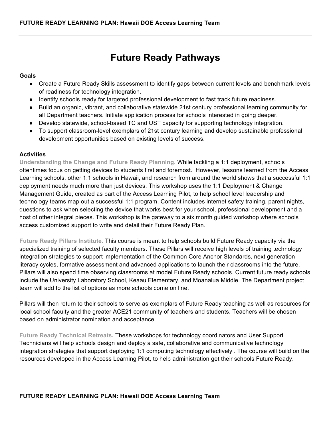# **Future Ready Pathways**

#### **Goals**

- Create a Future Ready Skills assessment to identify gaps between current levels and benchmark levels of readiness for technology integration.
- Identify schools ready for targeted professional development to fast track future readiness.
- Build an organic, vibrant, and collaborative statewide 21st century professional learning community for all Department teachers. Initiate application process for schools interested in going deeper.
- Develop statewide, school-based TC and UST capacity for supporting technology integration.
- To support classroom-level exemplars of 21st century learning and develop sustainable professional development opportunities based on existing levels of success.

#### **Activities**

**Understanding the Change and Future Ready Planning.** While tackling a 1:1 deployment, schools oftentimes focus on getting devices to students first and foremost. However, lessons learned from the Access Learning schools, other 1:1 schools in Hawaii, and research from around the world shows that a successful 1:1 deployment needs much more than just devices. This workshop uses the 1:1 Deployment & Change Management Guide, created as part of the Access Learning Pilot, to help school level leadership and technology teams map out a successful 1:1 program. Content includes internet safety training, parent nights, questions to ask when selecting the device that works best for your school, professional development and a host of other integral pieces. This workshop is the gateway to a six month guided workshop where schools access customized support to write and detail their Future Ready Plan.

**Future Ready Pillars Institute.** This course is meant to help schools build Future Ready capacity via the specialized training of selected faculty members. These Pillars will receive high levels of training technology integration strategies to support implementation of the Common Core Anchor Standards, next generation literacy cycles, formative assessment and advanced applications to launch their classrooms into the future. Pillars will also spend time observing classrooms at model Future Ready schools. Current future ready schools include the University Laboratory School, Keaau Elementary, and Moanalua Middle. The Department project team will add to the list of options as more schools come on line.

Pillars will then return to their schools to serve as exemplars of Future Ready teaching as well as resources for local school faculty and the greater ACE21 community of teachers and students. Teachers will be chosen based on administrator nomination and acceptance.

**Future Ready Technical Retreats.** These workshops for technology coordinators and User Support Technicians will help schools design and deploy a safe, collaborative and communicative technology integration strategies that support deploying 1:1 computing technology effectively . The course will build on the resources developed in the Access Learning Pilot, to help administration get their schools Future Ready.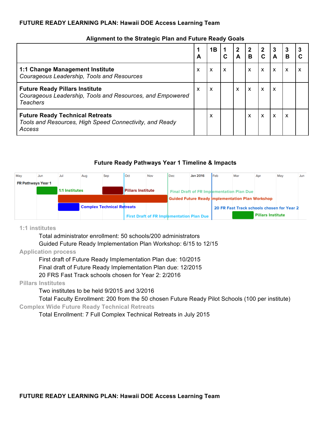|                                                                                                                       | A | 1B |   | $\mathbf 2$<br>A          | $\mathbf{2}$<br>в         | $\mathbf{2}$ | 3<br>Α | 3<br>R | 3 |
|-----------------------------------------------------------------------------------------------------------------------|---|----|---|---------------------------|---------------------------|--------------|--------|--------|---|
| 1:1 Change Management Institute<br>Courageous Leadership, Tools and Resources                                         | X | X  | X |                           | X                         | X            | X      | X      | X |
| <b>Future Ready Pillars Institute</b><br>Courageous Leadership, Tools and Resources, and Empowered<br><b>Teachers</b> | X | X  |   | $\boldsymbol{\mathsf{x}}$ | $\boldsymbol{\mathsf{x}}$ | $\mathsf{x}$ | X      |        |   |
| <b>Future Ready Technical Retreats</b><br>Tools and Resources, High Speed Connectivity, and Ready<br>Access           |   | X  |   |                           | X                         | X            | X      | x      |   |

#### **Alignment to the Strategic Plan and Future Ready Goals**

#### **Future Ready Pathways Year 1 Timeline & Impacts**

| May                | Jun | Jul            | Aug                               | Sep | Oct                      | Nov | Dec                                              | <b>Jan 2016</b> | <b>Feb</b> | Mar                                                     | Apr                      | May | Jun |
|--------------------|-----|----------------|-----------------------------------|-----|--------------------------|-----|--------------------------------------------------|-----------------|------------|---------------------------------------------------------|--------------------------|-----|-----|
| FR Pathways Year 1 |     |                |                                   |     |                          |     |                                                  |                 |            |                                                         |                          |     |     |
|                    |     | 1:1 Institutes |                                   |     | <b>Pillars Institute</b> |     |                                                  |                 |            | <b>Final Draft of FR Implementation Plan Due</b>        |                          |     |     |
|                    |     |                |                                   |     |                          |     |                                                  |                 |            | <b>Guided Future Ready Implementation Plan Workshop</b> |                          |     |     |
|                    |     |                | <b>Complex Technical Retreats</b> |     |                          |     |                                                  |                 |            | 20 FR Fast Track schools chosen for Year 2              |                          |     |     |
|                    |     |                |                                   |     |                          |     | <b>First Draft of FR Implementation Plan Due</b> |                 |            |                                                         | <b>Pillars Institute</b> |     |     |

#### **1:1 institutes**

Total administrator enrollment: 50 schools/200 administrators

Guided Future Ready Implementation Plan Workshop: 6/15 to 12/15

#### **Application process**

First draft of Future Ready Implementation Plan due: 10/2015

Final draft of Future Ready Implementation Plan due: 12/2015

20 FRS Fast Track schools chosen for Year 2: 2/2016

#### **Pillars Institutes**

Two institutes to be held 9/2015 and 3/2016

Total Faculty Enrollment: 200 from the 50 chosen Future Ready Pilot Schools (100 per institute)

#### **Complex Wide Future Ready Technical Retreats**

Total Enrollment: 7 Full Complex Technical Retreats in July 2015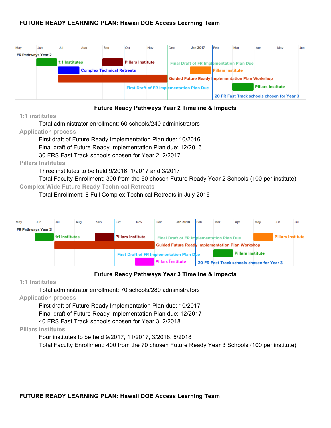| May                | Jun | Jul            | Aug                               | Sep | Oct                      | Nov | l Dec                                            | <b>Jan 2017</b>                                         | Feb                       | Mar | Apr                      | May                                        | Jun |
|--------------------|-----|----------------|-----------------------------------|-----|--------------------------|-----|--------------------------------------------------|---------------------------------------------------------|---------------------------|-----|--------------------------|--------------------------------------------|-----|
| FR Pathways Year 2 |     |                |                                   |     |                          |     |                                                  |                                                         |                           |     |                          |                                            |     |
|                    |     | 1:1 Institutes |                                   |     | <b>Pillars Institute</b> |     |                                                  | Final Draft of FR Implementation Plan Due               |                           |     |                          |                                            |     |
|                    |     |                | <b>Complex Technical Retreats</b> |     |                          |     |                                                  |                                                         | <b>IPillars Institute</b> |     |                          |                                            |     |
|                    |     |                |                                   |     |                          |     |                                                  | <b>Guided Future Ready Implementation Plan Workshop</b> |                           |     |                          |                                            |     |
|                    |     |                |                                   |     |                          |     | <b>First Draft of FR Implementation Plan Due</b> |                                                         |                           |     | <b>Pillars Institute</b> |                                            |     |
|                    |     |                |                                   |     |                          |     |                                                  |                                                         |                           |     |                          | 20 FR Fast Track schools chosen for Year 3 |     |

#### **Future Ready Pathways Year 2 Timeline & Impacts**

#### **1:1 institutes**

Total administrator enrollment: 60 schools/240 administrators

#### **Application process**

First draft of Future Ready Implementation Plan due: 10/2016 Final draft of Future Ready Implementation Plan due: 12/2016 30 FRS Fast Track schools chosen for Year 2: 2/2017

#### **Pillars Institutes**

Three institutes to be held 9/2016, 1/2017 and 3/2017

Total Faculty Enrollment: 300 from the 60 chosen Future Ready Year 2 Schools (100 per institute) **Complex Wide Future Ready Technical Retreats**

Total Enrollment: 8 Full Complex Technical Retreats in July 2016

| May                       | Jun | Jul            | Aug | Sep | Oct                      | Nov | Dec                                              | <b>Jan 2018</b>                                         | Feb | Mar                                        | Apr                      | May | Jun                      | Jul |
|---------------------------|-----|----------------|-----|-----|--------------------------|-----|--------------------------------------------------|---------------------------------------------------------|-----|--------------------------------------------|--------------------------|-----|--------------------------|-----|
| <b>FR Pathways Year 3</b> |     |                |     |     |                          |     |                                                  |                                                         |     |                                            |                          |     |                          |     |
|                           |     | 1:1 Institutes |     |     | <b>Pillars Institute</b> |     |                                                  | Final Draft of FR Implementation Plan Due               |     |                                            |                          |     | <b>Pillars Institute</b> |     |
|                           |     |                |     |     |                          |     |                                                  | <b>Guided Future Ready Implementation Plan Workshop</b> |     |                                            |                          |     |                          |     |
|                           |     |                |     |     |                          |     | <b>First Draft of FR Implementation Plan Due</b> |                                                         |     |                                            | <b>Pillars Institute</b> |     |                          |     |
|                           |     |                |     |     |                          |     | <b>Pillars Institute</b>                         |                                                         |     | 20 FR Fast Track schools chosen for Year 3 |                          |     |                          |     |

#### **Future Ready Pathways Year 3 Timeline & Impacts**

#### **1:1 Institutes**

Total administrator enrollment: 70 schools/280 administrators **Application process**

First draft of Future Ready Implementation Plan due: 10/2017

Final draft of Future Ready Implementation Plan due: 12/2017

40 FRS Fast Track schools chosen for Year 3: 2/2018

#### **Pillars Institutes**

Four institutes to be held 9/2017, 11/2017, 3/2018, 5/2018 Total Faculty Enrollment: 400 from the 70 chosen Future Ready Year 3 Schools (100 per institute)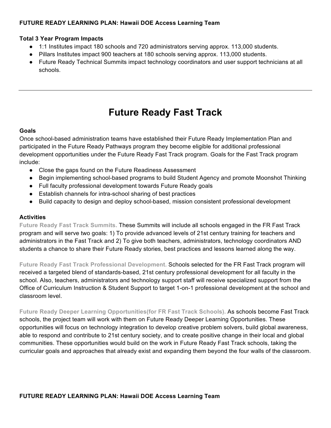#### **Total 3 Year Program Impacts**

- 1:1 Institutes impact 180 schools and 720 administrators serving approx. 113,000 students.
- Pillars Institutes impact 900 teachers at 180 schools serving approx. 113,000 students.
- Future Ready Technical Summits impact technology coordinators and user support technicians at all schools.

# **Future Ready Fast Track**

#### **Goals**

Once school-based administration teams have established their Future Ready Implementation Plan and participated in the Future Ready Pathways program they become eligible for additional professional development opportunities under the Future Ready Fast Track program. Goals for the Fast Track program include:

- Close the gaps found on the Future Readiness Assessment
- Begin implementing school-based programs to build Student Agency and promote Moonshot Thinking
- Full faculty professional development towards Future Ready goals
- Establish channels for intra-school sharing of best practices
- Build capacity to design and deploy school-based, mission consistent professional development

#### **Activities**

**Future Ready Fast Track Summits.** These Summits will include all schools engaged in the FR Fast Track program and will serve two goals: 1) To provide advanced levels of 21st century training for teachers and administrators in the Fast Track and 2) To give both teachers, administrators, technology coordinators AND students a chance to share their Future Ready stories, best practices and lessons learned along the way.

**Future Ready Fast Track Professional Development.** Schools selected for the FR Fast Track program will received a targeted blend of standards-based, 21st century professional development for all faculty in the school. Also, teachers, administrators and technology support staff will receive specialized support from the Office of Curriculum Instruction & Student Support to target 1-on-1 professional development at the school and classroom level.

**Future Ready Deeper Learning Opportunities(for FR Fast Track Schools).** As schools become Fast Track schools, the project team will work with them on Future Ready Deeper Learning Opportunities. These opportunities will focus on technology integration to develop creative problem solvers, build global awareness, able to respond and contribute to 21st century society, and to create positive change in their local and global communities. These opportunities would build on the work in Future Ready Fast Track schools, taking the curricular goals and approaches that already exist and expanding them beyond the four walls of the classroom.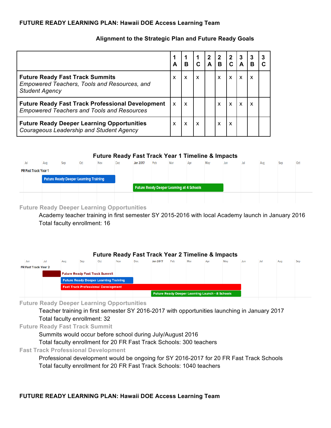|                                                                                                                 | A                         | B                         |                           | $\mathbf{2}$ | $\mathbf{2}$<br>$\overline{B}$ | $\boldsymbol{2}$          | $\boldsymbol{3}$ | 3 | 3 |
|-----------------------------------------------------------------------------------------------------------------|---------------------------|---------------------------|---------------------------|--------------|--------------------------------|---------------------------|------------------|---|---|
| <b>Future Ready Fast Track Summits</b><br>Empowered Teachers, Tools and Resources, and<br><b>Student Agency</b> | X                         | X                         | $\boldsymbol{\mathsf{x}}$ |              | X                              | $\boldsymbol{\mathsf{x}}$ | $\mathbf{x}$     |   |   |
| <b>Future Ready Fast Track Professional Development</b><br><b>Empowered Teachers and Tools and Resources</b>    | $\boldsymbol{\mathsf{x}}$ | $\boldsymbol{\mathsf{x}}$ |                           |              | X                              | $\boldsymbol{\mathsf{x}}$ | $\mathsf{x}$     |   |   |
| <b>Future Ready Deeper Learning Opportunities</b><br>Courageous Leadership and Student Agency                   | X                         | X                         | X                         |              | x                              | $\boldsymbol{\mathsf{x}}$ |                  |   |   |

#### **Alignment to the Strategic Plan and Future Ready Goals**

#### **Future Ready Fast Track Year 1 Timeline & Impacts**

| Jul                                          | Aug | Sep | Oct | Nov | Dec | <b>Jan 2017</b>                                  | Feb | Mar | Apr | May | Jun | Jul | Aug | Sep | Oct |
|----------------------------------------------|-----|-----|-----|-----|-----|--------------------------------------------------|-----|-----|-----|-----|-----|-----|-----|-----|-----|
| FR Fast Track Year 1                         |     |     |     |     |     |                                                  |     |     |     |     |     |     |     |     |     |
| <b>Future Ready Deeper Learning Training</b> |     |     |     |     |     |                                                  |     |     |     |     |     |     |     |     |     |
|                                              |     |     |     |     |     | <b>Future Ready Deeper Learning at 4 Schools</b> |     |     |     |     |     |     |     |     |     |
|                                              |     |     |     |     |     |                                                  |     |     |     |     |     |     |     |     |     |

#### **Future Ready Deeper Learning Opportunities**

Academy teacher training in first semester SY 2015-2016 with local Academy launch in January 2016 Total faculty enrollment: 16

#### **Future Ready Fast Track Year 2 Timeline & Impacts**

| Jul<br>Jun                  | Aug | Sep | Oct                                          | Nov | Dec | <b>Jan 2017</b> | Feb | Mar | Apr | May | Jun | Jul | Aug | Sep |
|-----------------------------|-----|-----|----------------------------------------------|-----|-----|-----------------|-----|-----|-----|-----|-----|-----|-----|-----|
| <b>FR Fast Track Year 2</b> |     |     |                                              |     |     |                 |     |     |     |     |     |     |     |     |
|                             |     |     | <b>Future Ready Fast Track Summit</b>        |     |     |                 |     |     |     |     |     |     |     |     |
|                             |     |     | <b>Future Ready Deeper Learning Training</b> |     |     |                 |     |     |     |     |     |     |     |     |
|                             |     |     | <b>Fast Track Professional Development</b>   |     |     |                 |     |     |     |     |     |     |     |     |
|                             |     |     |                                              |     |     |                 |     |     |     |     |     |     |     |     |

#### **Future Ready Deeper Learning Opportunities**

Teacher training in first semester SY 2016-2017 with opportunities launching in January 2017 Total faculty enrollment: 32

**Future Ready Fast Track Summit**

Summits would occur before school during July/August 2016

Total faculty enrollment for 20 FR Fast Track Schools: 300 teachers

**Fast Track Professional Development**

Professional development would be ongoing for SY 2016-2017 for 20 FR Fast Track Schools Total faculty enrollment for 20 FR Fast Track Schools: 1040 teachers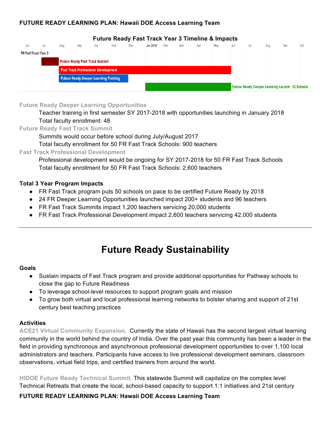

#### **Future Ready Fast Track Year 3 Timeline & Impacts**

#### **Future Ready Deeper Learning Opportunities**

Teacher training in first semester SY 2017-2018 with opportunities launching in January 2018 Total faculty enrollment: 48

#### **Future Ready Fast Track Summit**

Summits would occur before school during July/August 2017

Total faculty enrollment for 50 FR Fast Track Schools: 900 teachers

#### **Fast Track Professional Development**

Professional development would be ongoing for SY 2017-2018 for 50 FR Fast Track Schools Total faculty enrollment for 50 FR Fast Track Schools: 2,600 teachers

#### **Total 3 Year Program Impacts**

- FR Fast Track program puts 50 schools on pace to be certified Future Ready by 2018
- 24 FR Deeper Learning Opportunities launched impact 200+ students and 96 teachers
- FR Fast Track Summits impact 1,200 teachers servicing 20,000 students
- FR Fast Track Professional Development impact 2,600 teachers servicing 42,000 students

# **Future Ready Sustainability**

#### **Goals**

- Sustain impacts of Fast Track program and provide additional opportunities for Pathway schools to close the gap to Future Readiness
- To leverage school-level resources to support program goals and mission
- To grow both virtual and local professional learning networks to bolster sharing and support of 21st century best teaching practices

#### **Activities**

**ACE21 Virtual Community Expansion.** Currently the state of Hawaii has the second largest virtual learning community in the world behind the country of India. Over the past year this community has been a leader in the field in providing synchronous and asynchronous professional development opportunities to over 1,100 local administrators and teachers. Participants have access to live professional development seminars, classroom observations, virtual field trips, and certified trainers from around the world.

**HIDOE Future Ready Technical Summit.** This statewide Summit will capitalize on the complex level Technical Retreats that create the local, school-based capacity to support 1:1 initiatives and 21st century

#### **FUTURE READY LEARNING PLAN: Hawaii DOE Access Learning Team**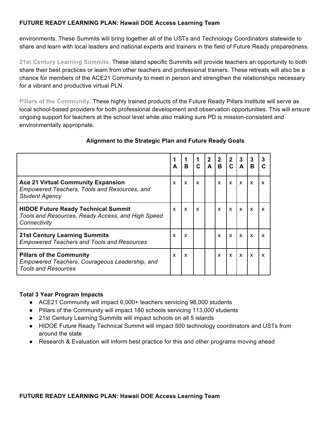environments. These Summits will bring together all of the USTs and Technology Coordinators statewide to share and learn with local leaders and national experts and trainers in the field of Future Ready preparedness.

**21st Century Learning Summits.** These island specific Summits will provide teachers an opportunity to both share their best practices or learn from other teachers and professional trainers. These retreats will also be a chance for members of the ACE21 Community to meet in person and strengthen the relationships necessary for a vibrant and productive virtual PLN.

**Pillars of the Community.** These highly trained products of the Future Ready Pillars Institute will serve as local school-based providers for both professional development and observation opportunities. This will ensure ongoing support for teachers at the school level while also making sure PD is mission-consistent and environmentally appropriate.

|                                                                                                                    | A | B                         | 1<br>$\mathbf c$          | $\mathbf 2$<br>A | $\mathbf{2}$<br>B | $\mathbf{2}$<br>C | 3<br>A       | 3<br>B                    | 3                         |
|--------------------------------------------------------------------------------------------------------------------|---|---------------------------|---------------------------|------------------|-------------------|-------------------|--------------|---------------------------|---------------------------|
| <b>Ace 21 Virtual Community Expansion</b><br>Empowered Teachers, Tools and Resources, and<br><b>Student Agency</b> | X | $\boldsymbol{\mathsf{x}}$ | $\mathbf{x}$              |                  | X                 | $\mathsf{x}$      | X            | $\boldsymbol{\mathsf{x}}$ | $\boldsymbol{\mathsf{x}}$ |
| <b>HIDOE Future Ready Technical Summit</b><br>Tools and Resources, Ready Access, and High Speed<br>Connectivity    | X | $\boldsymbol{\mathsf{x}}$ | $\boldsymbol{\mathsf{x}}$ |                  | X                 | $\mathsf{x}$      | X            | $\boldsymbol{\mathsf{x}}$ | $\boldsymbol{\mathsf{x}}$ |
| <b>21st Century Learning Summits</b><br><b>Empowered Teachers and Tools and Resources</b>                          | X | $\boldsymbol{\mathsf{x}}$ |                           |                  | X                 | $\mathsf{x}$      | $\mathsf{x}$ | $\mathsf{x}$              | X                         |
| <b>Pillars of the Community</b><br>Empowered Teachers, Courageous Leadership, and<br><b>Tools and Resources</b>    | X | $\boldsymbol{\mathsf{x}}$ |                           |                  | X                 | $\mathsf{x}$      | $\mathsf{x}$ | $\boldsymbol{\mathsf{x}}$ | $\boldsymbol{\mathsf{x}}$ |

#### **Alignment to the Strategic Plan and Future Ready Goals**

#### **Total 3 Year Program Impacts**

- ACE21 Community will impact 6,000+ teachers servicing 98,000 students
- Pillars of the Community will impact 180 schools servicing 113,000 students
- 21st Century Learning Summits will impact schools on all 5 islands
- HIDOE Future Ready Technical Summit will impact 500 technology coordinators and USTs from around the state
- Research & Evaluation will inform best practice for this and other programs moving ahead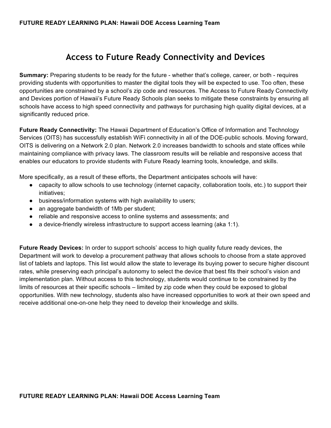### **Access to Future Ready Connectivity and Devices**

**Summary:** Preparing students to be ready for the future - whether that's college, career, or both - requires providing students with opportunities to master the digital tools they will be expected to use. Too often, these opportunities are constrained by a school's zip code and resources. The Access to Future Ready Connectivity and Devices portion of Hawaii's Future Ready Schools plan seeks to mitigate these constraints by ensuring all schools have access to high speed connectivity and pathways for purchasing high quality digital devices, at a significantly reduced price.

**Future Ready Connectivity:** The Hawaii Department of Education's Office of Information and Technology Services (OITS) has successfully establish WiFi connectivity in all of the DOE-public schools. Moving forward, OITS is delivering on a Network 2.0 plan. Network 2.0 increases bandwidth to schools and state offices while maintaining compliance with privacy laws. The classroom results will be reliable and responsive access that enables our educators to provide students with Future Ready learning tools, knowledge, and skills.

More specifically, as a result of these efforts, the Department anticipates schools will have:

- capacity to allow schools to use technology (internet capacity, collaboration tools, etc.) to support their initiatives;
- business/information systems with high availability to users;
- an aggregate bandwidth of 1Mb per student;
- reliable and responsive access to online systems and assessments; and
- $\bullet$  a device-friendly wireless infrastructure to support access learning (aka 1:1).

**Future Ready Devices:** In order to support schools' access to high quality future ready devices, the Department will work to develop a procurement pathway that allows schools to choose from a state approved list of tablets and laptops. This list would allow the state to leverage its buying power to secure higher discount rates, while preserving each principal's autonomy to select the device that best fits their school's vision and implementation plan. Without access to this technology, students would continue to be constrained by the limits of resources at their specific schools – limited by zip code when they could be exposed to global opportunities. With new technology, students also have increased opportunities to work at their own speed and receive additional one-on-one help they need to develop their knowledge and skills.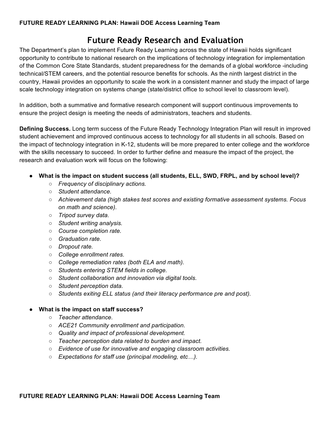## **Future Ready Research and Evaluation**

The Department's plan to implement Future Ready Learning across the state of Hawaii holds significant opportunity to contribute to national research on the implications of technology integration for implementation of the Common Core State Standards, student preparedness for the demands of a global workforce -including technical/STEM careers, and the potential resource benefits for schools. As the ninth largest district in the country, Hawaii provides an opportunity to scale the work in a consistent manner and study the impact of large scale technology integration on systems change (state/district office to school level to classroom level).

In addition, both a summative and formative research component will support continuous improvements to ensure the project design is meeting the needs of administrators, teachers and students.

**Defining Success.** Long term success of the Future Ready Technology Integration Plan will result in improved student achievement and improved continuous access to technology for all students in all schools. Based on the impact of technology integration in K-12, students will be more prepared to enter college and the workforce with the skills necessary to succeed. In order to further define and measure the impact of the project, the research and evaluation work will focus on the following:

- **What is the impact on student success (all students, ELL, SWD, FRPL, and by school level)?**
	- *Frequency of disciplinary actions.*
	- *Student attendance.*
	- *Achievement data (high stakes test scores and existing formative assessment systems. Focus on math and science).*
	- *Tripod survey data.*
	- *Student writing analysis.*
	- *Course completion rate.*
	- *Graduation rate.*
	- *Dropout rate.*
	- *College enrollment rates.*
	- *College remediation rates (both ELA and math).*
	- *Students entering STEM fields in college.*
	- *Student collaboration and innovation via digital tools.*
	- *Student perception data.*
	- *Students exiting ELL status (and their literacy performance pre and post).*

#### ● **What is the impact on staff success?**

- *Teacher attendance.*
- *ACE21 Community enrollment and participation.*
- *Quality and impact of professional development.*
- *Teacher perception data related to burden and impact.*
- *Evidence of use for innovative and engaging classroom activities.*
- *Expectations for staff use (principal modeling, etc…).*